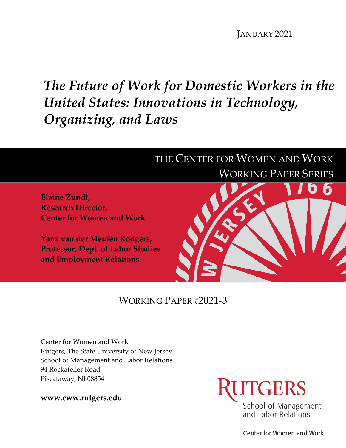JANUARY 2021

*The Future of Work for Domestic Workers in the United States: Innovations in Technology, Organizing, and Laws*

# THE CENTER FOR WOMEN AND WORK WORKING PAPER SERIES

**Elaine Zundl, Research Director, Center for Women and Work**

**Yana van der Meulen Rodgers, Professor, Dept. of Labor Studies and Employment Relations**



## WORKING PAPER #2021-3

Center for Women and Work Rutgers, The State University of New Jersey School of Management and Labor Relations 94 Rockafeller Road Piscataway, NJ 08854

**[www.cww.rutgers.edu](http://www.cww.rutgers.edu/)**



Center for Women and Work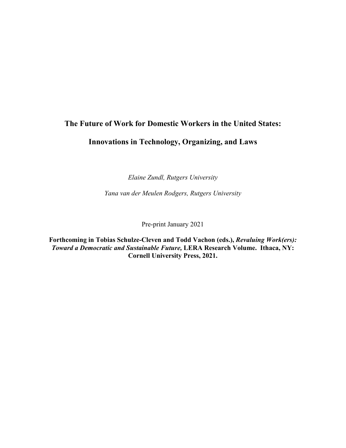## **The Future of Work for Domestic Workers in the United States:**

## **Innovations in Technology, Organizing, and Laws**

*Elaine Zundl, Rutgers University*

*Yana van der Meulen Rodgers, Rutgers University*

Pre-print January 2021

**Forthcoming in Tobias Schulze-Cleven and Todd Vachon (eds.),** *Revaluing Work(ers): Toward a Democratic and Sustainable Future,* **LERA Research Volume. Ithaca, NY: Cornell University Press, 2021.**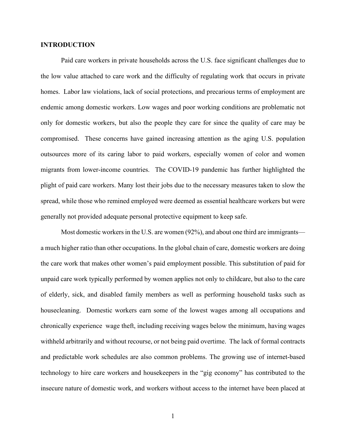#### **INTRODUCTION**

Paid care workers in private households across the U.S. face significant challenges due to the low value attached to care work and the difficulty of regulating work that occurs in private homes. Labor law violations, lack of social protections, and precarious terms of employment are endemic among domestic workers. Low wages and poor working conditions are problematic not only for domestic workers, but also the people they care for since the quality of care may be compromised. These concerns have gained increasing attention as the aging U.S. population outsources more of its caring labor to paid workers, especially women of color and women migrants from lower-income countries. The COVID-19 pandemic has further highlighted the plight of paid care workers. Many lost their jobs due to the necessary measures taken to slow the spread, while those who remined employed were deemed as essential healthcare workers but were generally not provided adequate personal protective equipment to keep safe.

Most domestic workers in the U.S. are women (92%), and about one third are immigrants a much higher ratio than other occupations. In the global chain of care, domestic workers are doing the care work that makes other women's paid employment possible. This substitution of paid for unpaid care work typically performed by women applies not only to childcare, but also to the care of elderly, sick, and disabled family members as well as performing household tasks such as housecleaning. Domestic workers earn some of the lowest wages among all occupations and chronically experience wage theft, including receiving wages below the minimum, having wages withheld arbitrarily and without recourse, or not being paid overtime. The lack of formal contracts and predictable work schedules are also common problems. The growing use of internet-based technology to hire care workers and housekeepers in the "gig economy" has contributed to the insecure nature of domestic work, and workers without access to the internet have been placed at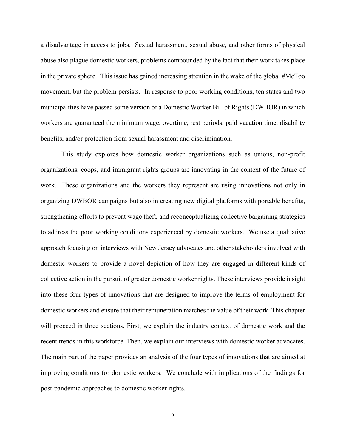a disadvantage in access to jobs. Sexual harassment, sexual abuse, and other forms of physical abuse also plague domestic workers, problems compounded by the fact that their work takes place in the private sphere. This issue has gained increasing attention in the wake of the global #MeToo movement, but the problem persists. In response to poor working conditions, ten states and two municipalities have passed some version of a Domestic Worker Bill of Rights (DWBOR) in which workers are guaranteed the minimum wage, overtime, rest periods, paid vacation time, disability benefits, and/or protection from sexual harassment and discrimination.

This study explores how domestic worker organizations such as unions, non-profit organizations, coops, and immigrant rights groups are innovating in the context of the future of work. These organizations and the workers they represent are using innovations not only in organizing DWBOR campaigns but also in creating new digital platforms with portable benefits, strengthening efforts to prevent wage theft, and reconceptualizing collective bargaining strategies to address the poor working conditions experienced by domestic workers. We use a qualitative approach focusing on interviews with New Jersey advocates and other stakeholders involved with domestic workers to provide a novel depiction of how they are engaged in different kinds of collective action in the pursuit of greater domestic worker rights. These interviews provide insight into these four types of innovations that are designed to improve the terms of employment for domestic workers and ensure that their remuneration matches the value of their work. This chapter will proceed in three sections. First, we explain the industry context of domestic work and the recent trends in this workforce. Then, we explain our interviews with domestic worker advocates. The main part of the paper provides an analysis of the four types of innovations that are aimed at improving conditions for domestic workers. We conclude with implications of the findings for post-pandemic approaches to domestic worker rights.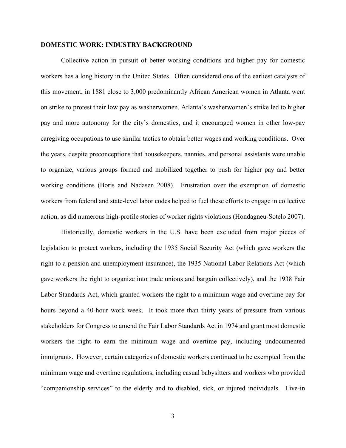#### **DOMESTIC WORK: INDUSTRY BACKGROUND**

Collective action in pursuit of better working conditions and higher pay for domestic workers has a long history in the United States. Often considered one of the earliest catalysts of this movement, in 1881 close to 3,000 predominantly African American women in Atlanta went on strike to protest their low pay as washerwomen. Atlanta's washerwomen's strike led to higher pay and more autonomy for the city's domestics, and it encouraged women in other low-pay caregiving occupations to use similar tactics to obtain better wages and working conditions. Over the years, despite preconceptions that housekeepers, nannies, and personal assistants were unable to organize, various groups formed and mobilized together to push for higher pay and better working conditions (Boris and Nadasen 2008). Frustration over the exemption of domestic workers from federal and state-level labor codes helped to fuel these efforts to engage in collective action, as did numerous high-profile stories of worker rights violations (Hondagneu-Sotelo 2007).

Historically, domestic workers in the U.S. have been excluded from major pieces of legislation to protect workers, including the 1935 Social Security Act (which gave workers the right to a pension and unemployment insurance), the 1935 National Labor Relations Act (which gave workers the right to organize into trade unions and bargain collectively), and the 1938 Fair Labor Standards Act, which granted workers the right to a minimum wage and overtime pay for hours beyond a 40-hour work week. It took more than thirty years of pressure from various stakeholders for Congress to amend the Fair Labor Standards Act in 1974 and grant most domestic workers the right to earn the minimum wage and overtime pay, including undocumented immigrants. However, certain categories of domestic workers continued to be exempted from the minimum wage and overtime regulations, including casual babysitters and workers who provided "companionship services" to the elderly and to disabled, sick, or injured individuals. Live-in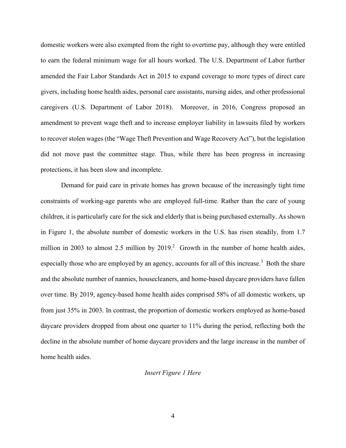domestic workers were also exempted from the right to overtime pay, although they were entitled to earn the federal minimum wage for all hours worked. The U.S. Department of Labor further amended the Fair Labor Standards Act in 2015 to expand coverage to more types of direct care givers, including home health aides, personal care assistants, nursing aides, and other professional caregivers (U.S. Department of Labor 2018). Moreover, in 2016, Congress proposed an amendment to prevent wage theft and to increase employer liability in lawsuits filed by workers to recover stolen wages (the "Wage Theft Prevention and Wage Recovery Act"), but the legislation did not move past the committee stage. Thus, while there has been progress in increasing protections, it has been slow and incomplete.

Demand for paid care in private homes has grown because of the increasingly tight time constraints of working-age parents who are employed full-time. Rather than the care of young children, it is particularly care for the sick and elderly that is being purchased externally. As shown in Figure 1, the absolute number of domestic workers in the U.S. has risen steadily, from 1.7 million in 2003 to almost 2.5 million by  $2019<sup>2</sup>$  Growth in the number of home health aides, especially those who are employed by an agency, accounts for all of this increase.<sup>3</sup> Both the share and the absolute number of nannies, housecleaners, and home-based daycare providers have fallen over time. By 2019, agency-based home health aides comprised 58% of all domestic workers, up from just 35% in 2003. In contrast, the proportion of domestic workers employed as home-based daycare providers dropped from about one quarter to 11% during the period, reflecting both the decline in the absolute number of home daycare providers and the large increase in the number of home health aides.

#### *Insert Figure 1 Here*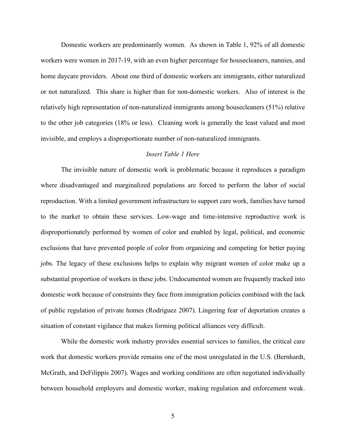Domestic workers are predominantly women. As shown in Table 1, 92% of all domestic workers were women in 2017-19, with an even higher percentage for housecleaners, nannies, and home daycare providers. About one third of domestic workers are immigrants, either naturalized or not naturalized. This share is higher than for non-domestic workers. Also of interest is the relatively high representation of non-naturalized immigrants among housecleaners (51%) relative to the other job categories (18% or less). Cleaning work is generally the least valued and most invisible, and employs a disproportionate number of non-naturalized immigrants.

#### *Insert Table 1 Here*

The invisible nature of domestic work is problematic because it reproduces a paradigm where disadvantaged and marginalized populations are forced to perform the labor of social reproduction. With a limited government infrastructure to support care work, families have turned to the market to obtain these services. Low-wage and time-intensive reproductive work is disproportionately performed by women of color and enabled by legal, political, and economic exclusions that have prevented people of color from organizing and competing for better paying jobs. The legacy of these exclusions helps to explain why migrant women of color make up a substantial proportion of workers in these jobs. Undocumented women are frequently tracked into domestic work because of constraints they face from immigration policies combined with the lack of public regulation of private homes (Rodríguez 2007). Lingering fear of deportation creates a situation of constant vigilance that makes forming political alliances very difficult.

While the domestic work industry provides essential services to families, the critical care work that domestic workers provide remains one of the most unregulated in the U.S. (Bernhardt, McGrath, and DeFilippis 2007). Wages and working conditions are often negotiated individually between household employers and domestic worker, making regulation and enforcement weak.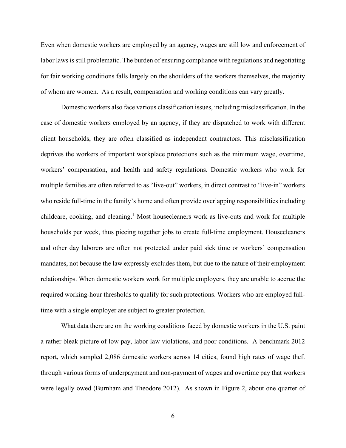Even when domestic workers are employed by an agency, wages are still low and enforcement of labor laws is still problematic. The burden of ensuring compliance with regulations and negotiating for fair working conditions falls largely on the shoulders of the workers themselves, the majority of whom are women. As a result, compensation and working conditions can vary greatly.

Domestic workers also face various classification issues, including misclassification. In the case of domestic workers employed by an agency, if they are dispatched to work with different client households, they are often classified as independent contractors. This misclassification deprives the workers of important workplace protections such as the minimum wage, overtime, workers' compensation, and health and safety regulations. Domestic workers who work for multiple families are often referred to as "live-out" workers, in direct contrast to "live-in" workers who reside full-time in the family's home and often provide overlapping responsibilities including childcare, cooking, and cleaning. <sup>1</sup> Most housecleaners work as live-outs and work for multiple households per week, thus piecing together jobs to create full-time employment. Housecleaners and other day laborers are often not protected under paid sick time or workers' compensation mandates, not because the law expressly excludes them, but due to the nature of their employment relationships. When domestic workers work for multiple employers, they are unable to accrue the required working-hour thresholds to qualify for such protections. Workers who are employed fulltime with a single employer are subject to greater protection.

What data there are on the working conditions faced by domestic workers in the U.S. paint a rather bleak picture of low pay, labor law violations, and poor conditions. A benchmark 2012 report, which sampled 2,086 domestic workers across 14 cities, found high rates of wage theft through various forms of underpayment and non-payment of wages and overtime pay that workers were legally owed (Burnham and Theodore 2012). As shown in Figure 2, about one quarter of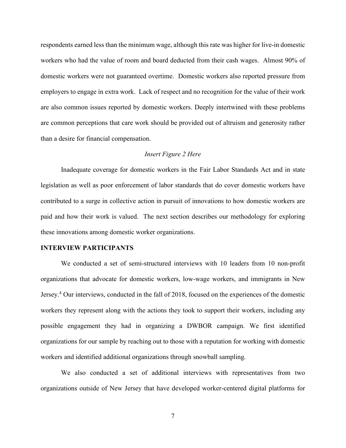respondents earned less than the minimum wage, although this rate was higher for live-in domestic workers who had the value of room and board deducted from their cash wages. Almost 90% of domestic workers were not guaranteed overtime. Domestic workers also reported pressure from employers to engage in extra work. Lack of respect and no recognition for the value of their work are also common issues reported by domestic workers. Deeply intertwined with these problems are common perceptions that care work should be provided out of altruism and generosity rather than a desire for financial compensation.

#### *Insert Figure 2 Here*

Inadequate coverage for domestic workers in the Fair Labor Standards Act and in state legislation as well as poor enforcement of labor standards that do cover domestic workers have contributed to a surge in collective action in pursuit of innovations to how domestic workers are paid and how their work is valued. The next section describes our methodology for exploring these innovations among domestic worker organizations.

#### **INTERVIEW PARTICIPANTS**

We conducted a set of semi-structured interviews with 10 leaders from 10 non-profit organizations that advocate for domestic workers, low-wage workers, and immigrants in New Jersey.4 Our interviews, conducted in the fall of 2018, focused on the experiences of the domestic workers they represent along with the actions they took to support their workers, including any possible engagement they had in organizing a DWBOR campaign. We first identified organizations for our sample by reaching out to those with a reputation for working with domestic workers and identified additional organizations through snowball sampling.

We also conducted a set of additional interviews with representatives from two organizations outside of New Jersey that have developed worker-centered digital platforms for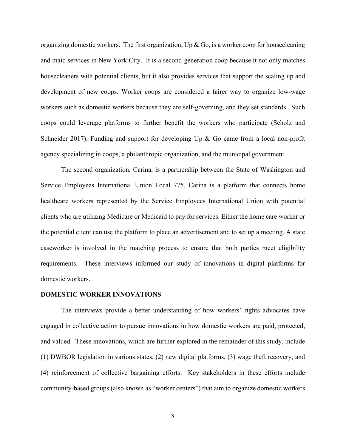organizing domestic workers. The first organization, Up  $\&$  Go, is a worker coop for housecleaning and maid services in New York City. It is a second-generation coop because it not only matches housecleaners with potential clients, but it also provides services that support the scaling up and development of new coops. Worker coops are considered a fairer way to organize low-wage workers such as domestic workers because they are self-governing, and they set standards. Such coops could leverage platforms to further benefit the workers who participate (Scholz and Schneider 2017). Funding and support for developing Up  $\&$  Go came from a local non-profit agency specializing in coops, a philanthropic organization, and the municipal government.

The second organization, Carina, is a partnership between the State of Washington and Service Employees International Union Local 775. Carina is a platform that connects home healthcare workers represented by the Service Employees International Union with potential clients who are utilizing Medicare or Medicaid to pay for services. Either the home care worker or the potential client can use the platform to place an advertisement and to set up a meeting. A state caseworker is involved in the matching process to ensure that both parties meet eligibility requirements. These interviews informed our study of innovations in digital platforms for domestic workers.

#### **DOMESTIC WORKER INNOVATIONS**

The interviews provide a better understanding of how workers' rights advocates have engaged in collective action to pursue innovations in how domestic workers are paid, protected, and valued. These innovations, which are further explored in the remainder of this study, include (1) DWBOR legislation in various states, (2) new digital platforms, (3) wage theft recovery, and (4) reinforcement of collective bargaining efforts. Key stakeholders in these efforts include community-based groups (also known as "worker centers") that aim to organize domestic workers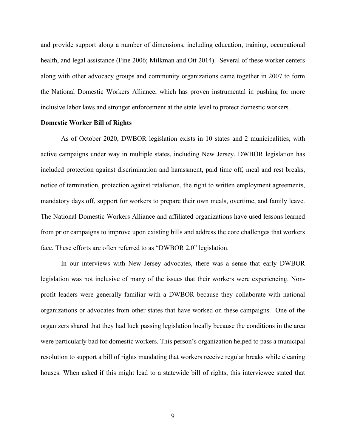and provide support along a number of dimensions, including education, training, occupational health, and legal assistance (Fine 2006; Milkman and Ott 2014). Several of these worker centers along with other advocacy groups and community organizations came together in 2007 to form the National Domestic Workers Alliance, which has proven instrumental in pushing for more inclusive labor laws and stronger enforcement at the state level to protect domestic workers.

#### **Domestic Worker Bill of Rights**

As of October 2020, DWBOR legislation exists in 10 states and 2 municipalities, with active campaigns under way in multiple states, including New Jersey. DWBOR legislation has included protection against discrimination and harassment, paid time off, meal and rest breaks, notice of termination, protection against retaliation, the right to written employment agreements, mandatory days off, support for workers to prepare their own meals, overtime, and family leave. The National Domestic Workers Alliance and affiliated organizations have used lessons learned from prior campaigns to improve upon existing bills and address the core challenges that workers face. These efforts are often referred to as "DWBOR 2.0" legislation.

In our interviews with New Jersey advocates, there was a sense that early DWBOR legislation was not inclusive of many of the issues that their workers were experiencing. Nonprofit leaders were generally familiar with a DWBOR because they collaborate with national organizations or advocates from other states that have worked on these campaigns. One of the organizers shared that they had luck passing legislation locally because the conditions in the area were particularly bad for domestic workers. This person's organization helped to pass a municipal resolution to support a bill of rights mandating that workers receive regular breaks while cleaning houses. When asked if this might lead to a statewide bill of rights, this interviewee stated that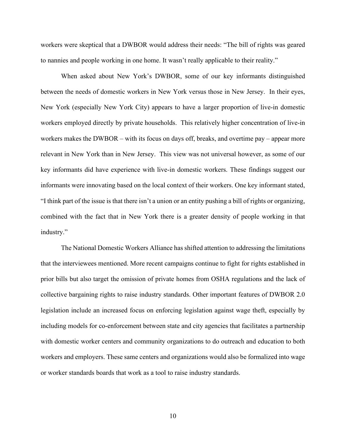workers were skeptical that a DWBOR would address their needs: "The bill of rights was geared to nannies and people working in one home. It wasn't really applicable to their reality."

When asked about New York's DWBOR, some of our key informants distinguished between the needs of domestic workers in New York versus those in New Jersey. In their eyes, New York (especially New York City) appears to have a larger proportion of live-in domestic workers employed directly by private households. This relatively higher concentration of live-in workers makes the DWBOR – with its focus on days off, breaks, and overtime pay – appear more relevant in New York than in New Jersey. This view was not universal however, as some of our key informants did have experience with live-in domestic workers. These findings suggest our informants were innovating based on the local context of their workers. One key informant stated, "I think part of the issue is that there isn't a union or an entity pushing a bill of rights or organizing, combined with the fact that in New York there is a greater density of people working in that industry."

The National Domestic Workers Alliance has shifted attention to addressing the limitations that the interviewees mentioned. More recent campaigns continue to fight for rights established in prior bills but also target the omission of private homes from OSHA regulations and the lack of collective bargaining rights to raise industry standards. Other important features of DWBOR 2.0 legislation include an increased focus on enforcing legislation against wage theft, especially by including models for co-enforcement between state and city agencies that facilitates a partnership with domestic worker centers and community organizations to do outreach and education to both workers and employers. These same centers and organizations would also be formalized into wage or worker standards boards that work as a tool to raise industry standards.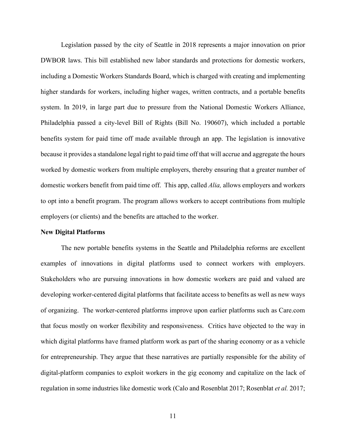Legislation passed by the city of Seattle in 2018 represents a major innovation on prior DWBOR laws. This bill established new labor standards and protections for domestic workers, including a Domestic Workers Standards Board, which is charged with creating and implementing higher standards for workers, including higher wages, written contracts, and a portable benefits system. In 2019, in large part due to pressure from the National Domestic Workers Alliance, Philadelphia passed a city-level Bill of Rights (Bill No. 190607), which included a portable benefits system for paid time off made available through an app. The legislation is innovative because it provides a standalone legal right to paid time off that will accrue and aggregate the hours worked by domestic workers from multiple employers, thereby ensuring that a greater number of domestic workers benefit from paid time off. This app, called *Alia,* allows employers and workers to opt into a benefit program. The program allows workers to accept contributions from multiple employers (or clients) and the benefits are attached to the worker.

#### **New Digital Platforms**

The new portable benefits systems in the Seattle and Philadelphia reforms are excellent examples of innovations in digital platforms used to connect workers with employers. Stakeholders who are pursuing innovations in how domestic workers are paid and valued are developing worker-centered digital platforms that facilitate access to benefits as well as new ways of organizing. The worker-centered platforms improve upon earlier platforms such as Care.com that focus mostly on worker flexibility and responsiveness. Critics have objected to the way in which digital platforms have framed platform work as part of the sharing economy or as a vehicle for entrepreneurship. They argue that these narratives are partially responsible for the ability of digital-platform companies to exploit workers in the gig economy and capitalize on the lack of regulation in some industries like domestic work (Calo and Rosenblat 2017; Rosenblat *et al.* 2017;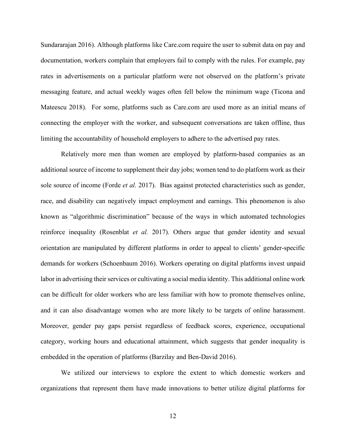Sundararajan 2016). Although platforms like Care.com require the user to submit data on pay and documentation, workers complain that employers fail to comply with the rules. For example, pay rates in advertisements on a particular platform were not observed on the platform's private messaging feature, and actual weekly wages often fell below the minimum wage (Ticona and Mateescu 2018). For some, platforms such as Care.com are used more as an initial means of connecting the employer with the worker, and subsequent conversations are taken offline, thus limiting the accountability of household employers to adhere to the advertised pay rates.

Relatively more men than women are employed by platform-based companies as an additional source of income to supplement their day jobs; women tend to do platform work as their sole source of income (Forde *et al.* 2017). Bias against protected characteristics such as gender, race, and disability can negatively impact employment and earnings. This phenomenon is also known as "algorithmic discrimination" because of the ways in which automated technologies reinforce inequality (Rosenblat *et al.* 2017). Others argue that gender identity and sexual orientation are manipulated by different platforms in order to appeal to clients' gender-specific demands for workers (Schoenbaum 2016). Workers operating on digital platforms invest unpaid labor in advertising their services or cultivating a social media identity. This additional online work can be difficult for older workers who are less familiar with how to promote themselves online, and it can also disadvantage women who are more likely to be targets of online harassment. Moreover, gender pay gaps persist regardless of feedback scores, experience, occupational category, working hours and educational attainment, which suggests that gender inequality is embedded in the operation of platforms (Barzilay and Ben-David 2016).

We utilized our interviews to explore the extent to which domestic workers and organizations that represent them have made innovations to better utilize digital platforms for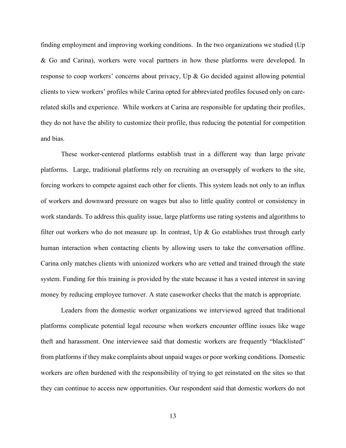finding employment and improving working conditions. In the two organizations we studied (Up & Go and Carina), workers were vocal partners in how these platforms were developed. In response to coop workers' concerns about privacy, Up & Go decided against allowing potential clients to view workers' profiles while Carina opted for abbreviated profiles focused only on carerelated skills and experience. While workers at Carina are responsible for updating their profiles, they do not have the ability to customize their profile, thus reducing the potential for competition and bias.

These worker-centered platforms establish trust in a different way than large private platforms. Large, traditional platforms rely on recruiting an oversupply of workers to the site, forcing workers to compete against each other for clients. This system leads not only to an influx of workers and downward pressure on wages but also to little quality control or consistency in work standards. To address this quality issue, large platforms use rating systems and algorithms to filter out workers who do not measure up. In contrast, Up  $\&$  Go establishes trust through early human interaction when contacting clients by allowing users to take the conversation offline. Carina only matches clients with unionized workers who are vetted and trained through the state system. Funding for this training is provided by the state because it has a vested interest in saving money by reducing employee turnover. A state caseworker checks that the match is appropriate.

Leaders from the domestic worker organizations we interviewed agreed that traditional platforms complicate potential legal recourse when workers encounter offline issues like wage theft and harassment. One interviewee said that domestic workers are frequently "blacklisted" from platforms if they make complaints about unpaid wages or poor working conditions. Domestic workers are often burdened with the responsibility of trying to get reinstated on the sites so that they can continue to access new opportunities. Our respondent said that domestic workers do not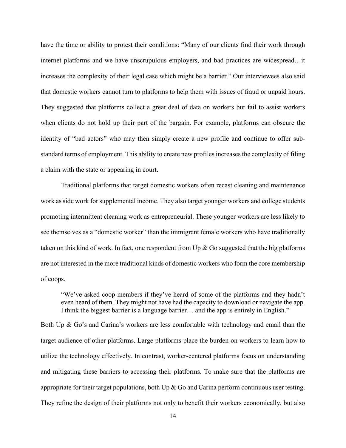have the time or ability to protest their conditions: "Many of our clients find their work through internet platforms and we have unscrupulous employers, and bad practices are widespread…it increases the complexity of their legal case which might be a barrier." Our interviewees also said that domestic workers cannot turn to platforms to help them with issues of fraud or unpaid hours. They suggested that platforms collect a great deal of data on workers but fail to assist workers when clients do not hold up their part of the bargain. For example, platforms can obscure the identity of "bad actors" who may then simply create a new profile and continue to offer substandard terms of employment. This ability to create new profiles increases the complexity of filing a claim with the state or appearing in court.

Traditional platforms that target domestic workers often recast cleaning and maintenance work as side work for supplemental income. They also target younger workers and college students promoting intermittent cleaning work as entrepreneurial. These younger workers are less likely to see themselves as a "domestic worker" than the immigrant female workers who have traditionally taken on this kind of work. In fact, one respondent from Up  $\&$  Go suggested that the big platforms are not interested in the more traditional kinds of domestic workers who form the core membership of coops.

"We've asked coop members if they've heard of some of the platforms and they hadn't even heard of them. They might not have had the capacity to download or navigate the app. I think the biggest barrier is a language barrier… and the app is entirely in English."

Both Up & Go's and Carina's workers are less comfortable with technology and email than the target audience of other platforms. Large platforms place the burden on workers to learn how to utilize the technology effectively. In contrast, worker-centered platforms focus on understanding and mitigating these barriers to accessing their platforms. To make sure that the platforms are appropriate for their target populations, both Up  $\&$  Go and Carina perform continuous user testing. They refine the design of their platforms not only to benefit their workers economically, but also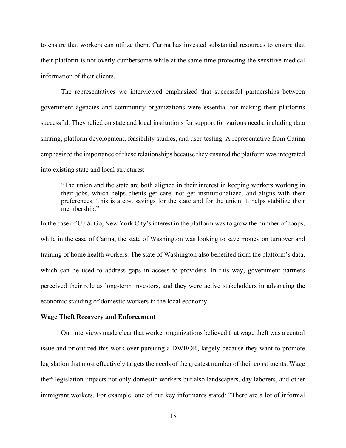to ensure that workers can utilize them. Carina has invested substantial resources to ensure that their platform is not overly cumbersome while at the same time protecting the sensitive medical information of their clients.

The representatives we interviewed emphasized that successful partnerships between government agencies and community organizations were essential for making their platforms successful. They relied on state and local institutions for support for various needs, including data sharing, platform development, feasibility studies, and user-testing. A representative from Carina emphasized the importance of these relationships because they ensured the platform was integrated into existing state and local structures:

"The union and the state are both aligned in their interest in keeping workers working in their jobs, which helps clients get care, not get institutionalized, and aligns with their preferences. This is a cost savings for the state and for the union. It helps stabilize their membership."

In the case of Up & Go, New York City's interest in the platform was to grow the number of coops, while in the case of Carina, the state of Washington was looking to save money on turnover and training of home health workers. The state of Washington also benefited from the platform's data, which can be used to address gaps in access to providers. In this way, government partners perceived their role as long-term investors, and they were active stakeholders in advancing the economic standing of domestic workers in the local economy.

#### **Wage Theft Recovery and Enforcement**

Our interviews made clear that worker organizations believed that wage theft was a central issue and prioritized this work over pursuing a DWBOR, largely because they want to promote legislation that most effectively targets the needs of the greatest number of their constituents. Wage theft legislation impacts not only domestic workers but also landscapers, day laborers, and other immigrant workers. For example, one of our key informants stated: "There are a lot of informal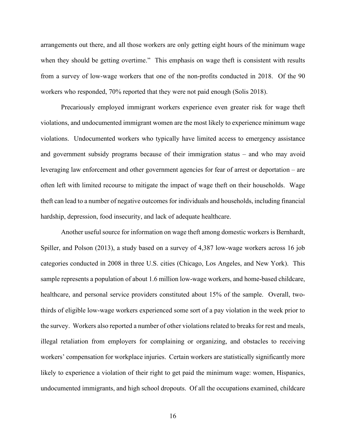arrangements out there, and all those workers are only getting eight hours of the minimum wage when they should be getting overtime." This emphasis on wage theft is consistent with results from a survey of low-wage workers that one of the non-profits conducted in 2018. Of the 90 workers who responded, 70% reported that they were not paid enough (Solis 2018).

Precariously employed immigrant workers experience even greater risk for wage theft violations, and undocumented immigrant women are the most likely to experience minimum wage violations. Undocumented workers who typically have limited access to emergency assistance and government subsidy programs because of their immigration status – and who may avoid leveraging law enforcement and other government agencies for fear of arrest or deportation – are often left with limited recourse to mitigate the impact of wage theft on their households. Wage theft can lead to a number of negative outcomes for individuals and households, including financial hardship, depression, food insecurity, and lack of adequate healthcare.

Another useful source for information on wage theft among domestic workers is Bernhardt, Spiller, and Polson (2013), a study based on a survey of 4,387 low-wage workers across 16 job categories conducted in 2008 in three U.S. cities (Chicago, Los Angeles, and New York). This sample represents a population of about 1.6 million low-wage workers, and home-based childcare, healthcare, and personal service providers constituted about 15% of the sample. Overall, twothirds of eligible low-wage workers experienced some sort of a pay violation in the week prior to the survey. Workers also reported a number of other violations related to breaks for rest and meals, illegal retaliation from employers for complaining or organizing, and obstacles to receiving workers' compensation for workplace injuries. Certain workers are statistically significantly more likely to experience a violation of their right to get paid the minimum wage: women, Hispanics, undocumented immigrants, and high school dropouts. Of all the occupations examined, childcare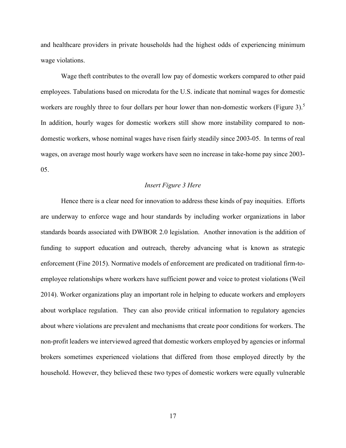and healthcare providers in private households had the highest odds of experiencing minimum wage violations.

Wage theft contributes to the overall low pay of domestic workers compared to other paid employees. Tabulations based on microdata for the U.S. indicate that nominal wages for domestic workers are roughly three to four dollars per hour lower than non-domestic workers (Figure 3).<sup>5</sup> In addition, hourly wages for domestic workers still show more instability compared to nondomestic workers, whose nominal wages have risen fairly steadily since 2003-05. In terms of real wages, on average most hourly wage workers have seen no increase in take-home pay since 2003- 05.

#### *Insert Figure 3 Here*

Hence there is a clear need for innovation to address these kinds of pay inequities. Efforts are underway to enforce wage and hour standards by including worker organizations in labor standards boards associated with DWBOR 2.0 legislation. Another innovation is the addition of funding to support education and outreach, thereby advancing what is known as strategic enforcement (Fine 2015). Normative models of enforcement are predicated on traditional firm-toemployee relationships where workers have sufficient power and voice to protest violations (Weil 2014). Worker organizations play an important role in helping to educate workers and employers about workplace regulation. They can also provide critical information to regulatory agencies about where violations are prevalent and mechanisms that create poor conditions for workers. The non-profit leaders we interviewed agreed that domestic workers employed by agencies or informal brokers sometimes experienced violations that differed from those employed directly by the household. However, they believed these two types of domestic workers were equally vulnerable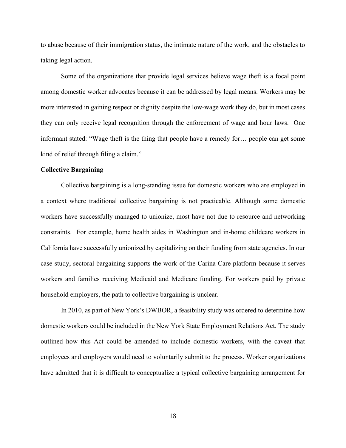to abuse because of their immigration status, the intimate nature of the work, and the obstacles to taking legal action.

Some of the organizations that provide legal services believe wage theft is a focal point among domestic worker advocates because it can be addressed by legal means. Workers may be more interested in gaining respect or dignity despite the low-wage work they do, but in most cases they can only receive legal recognition through the enforcement of wage and hour laws. One informant stated: "Wage theft is the thing that people have a remedy for… people can get some kind of relief through filing a claim."

#### **Collective Bargaining**

Collective bargaining is a long-standing issue for domestic workers who are employed in a context where traditional collective bargaining is not practicable. Although some domestic workers have successfully managed to unionize, most have not due to resource and networking constraints. For example, home health aides in Washington and in-home childcare workers in California have successfully unionized by capitalizing on their funding from state agencies. In our case study, sectoral bargaining supports the work of the Carina Care platform because it serves workers and families receiving Medicaid and Medicare funding. For workers paid by private household employers, the path to collective bargaining is unclear.

In 2010, as part of New York's DWBOR, a feasibility study was ordered to determine how domestic workers could be included in the New York State Employment Relations Act. The study outlined how this Act could be amended to include domestic workers, with the caveat that employees and employers would need to voluntarily submit to the process. Worker organizations have admitted that it is difficult to conceptualize a typical collective bargaining arrangement for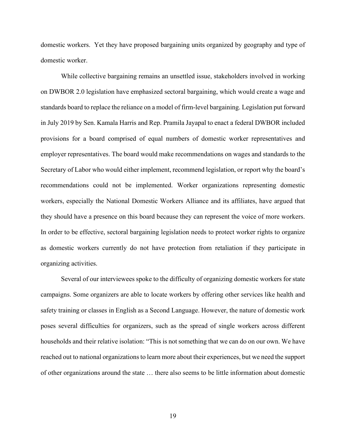domestic workers. Yet they have proposed bargaining units organized by geography and type of domestic worker.

While collective bargaining remains an unsettled issue, stakeholders involved in working on DWBOR 2.0 legislation have emphasized sectoral bargaining, which would create a wage and standards board to replace the reliance on a model of firm-level bargaining. Legislation put forward in July 2019 by Sen. Kamala Harris and Rep. Pramila Jayapal to enact a federal DWBOR included provisions for a board comprised of equal numbers of domestic worker representatives and employer representatives. The board would make recommendations on wages and standards to the Secretary of Labor who would either implement, recommend legislation, or report why the board's recommendations could not be implemented. Worker organizations representing domestic workers, especially the National Domestic Workers Alliance and its affiliates, have argued that they should have a presence on this board because they can represent the voice of more workers. In order to be effective, sectoral bargaining legislation needs to protect worker rights to organize as domestic workers currently do not have protection from retaliation if they participate in organizing activities.

Several of our interviewees spoke to the difficulty of organizing domestic workers for state campaigns. Some organizers are able to locate workers by offering other services like health and safety training or classes in English as a Second Language. However, the nature of domestic work poses several difficulties for organizers, such as the spread of single workers across different households and their relative isolation: "This is not something that we can do on our own. We have reached out to national organizations to learn more about their experiences, but we need the support of other organizations around the state … there also seems to be little information about domestic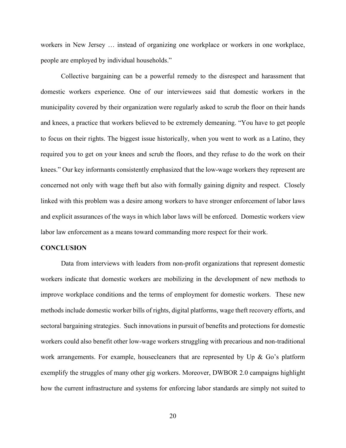workers in New Jersey ... instead of organizing one workplace or workers in one workplace, people are employed by individual households."

Collective bargaining can be a powerful remedy to the disrespect and harassment that domestic workers experience. One of our interviewees said that domestic workers in the municipality covered by their organization were regularly asked to scrub the floor on their hands and knees, a practice that workers believed to be extremely demeaning. "You have to get people to focus on their rights. The biggest issue historically, when you went to work as a Latino, they required you to get on your knees and scrub the floors, and they refuse to do the work on their knees." Our key informants consistently emphasized that the low-wage workers they represent are concerned not only with wage theft but also with formally gaining dignity and respect. Closely linked with this problem was a desire among workers to have stronger enforcement of labor laws and explicit assurances of the ways in which labor laws will be enforced. Domestic workers view labor law enforcement as a means toward commanding more respect for their work.

#### **CONCLUSION**

Data from interviews with leaders from non-profit organizations that represent domestic workers indicate that domestic workers are mobilizing in the development of new methods to improve workplace conditions and the terms of employment for domestic workers. These new methods include domestic worker bills of rights, digital platforms, wage theft recovery efforts, and sectoral bargaining strategies. Such innovations in pursuit of benefits and protections for domestic workers could also benefit other low-wage workers struggling with precarious and non-traditional work arrangements. For example, housecleaners that are represented by Up  $\&$  Go's platform exemplify the struggles of many other gig workers. Moreover, DWBOR 2.0 campaigns highlight how the current infrastructure and systems for enforcing labor standards are simply not suited to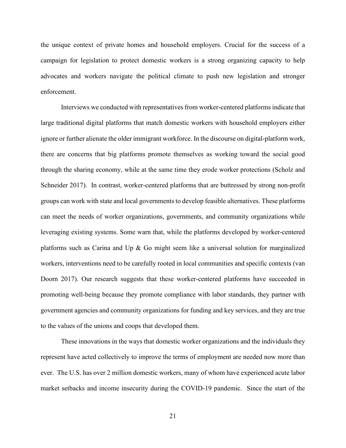the unique context of private homes and household employers. Crucial for the success of a campaign for legislation to protect domestic workers is a strong organizing capacity to help advocates and workers navigate the political climate to push new legislation and stronger enforcement.

Interviews we conducted with representatives from worker-centered platforms indicate that large traditional digital platforms that match domestic workers with household employers either ignore or further alienate the older immigrant workforce. In the discourse on digital-platform work, there are concerns that big platforms promote themselves as working toward the social good through the sharing economy, while at the same time they erode worker protections (Scholz and Schneider 2017). In contrast, worker-centered platforms that are buttressed by strong non-profit groups can work with state and local governments to develop feasible alternatives. These platforms can meet the needs of worker organizations, governments, and community organizations while leveraging existing systems. Some warn that, while the platforms developed by worker-centered platforms such as Carina and Up & Go might seem like a universal solution for marginalized workers, interventions need to be carefully rooted in local communities and specific contexts (van Doorn 2017). Our research suggests that these worker-centered platforms have succeeded in promoting well-being because they promote compliance with labor standards, they partner with government agencies and community organizations for funding and key services, and they are true to the values of the unions and coops that developed them.

These innovations in the ways that domestic worker organizations and the individuals they represent have acted collectively to improve the terms of employment are needed now more than ever. The U.S. has over 2 million domestic workers, many of whom have experienced acute labor market setbacks and income insecurity during the COVID-19 pandemic. Since the start of the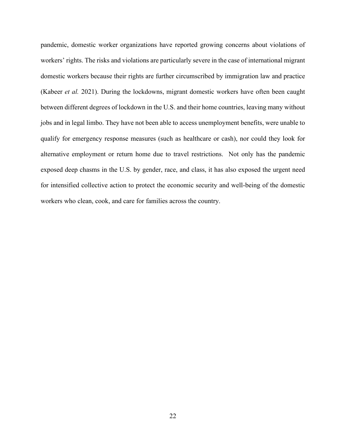pandemic, domestic worker organizations have reported growing concerns about violations of workers' rights. The risks and violations are particularly severe in the case of international migrant domestic workers because their rights are further circumscribed by immigration law and practice (Kabeer *et al.* 2021). During the lockdowns, migrant domestic workers have often been caught between different degrees of lockdown in the U.S. and their home countries, leaving many without jobs and in legal limbo. They have not been able to access unemployment benefits, were unable to qualify for emergency response measures (such as healthcare or cash), nor could they look for alternative employment or return home due to travel restrictions. Not only has the pandemic exposed deep chasms in the U.S. by gender, race, and class, it has also exposed the urgent need for intensified collective action to protect the economic security and well-being of the domestic workers who clean, cook, and care for families across the country.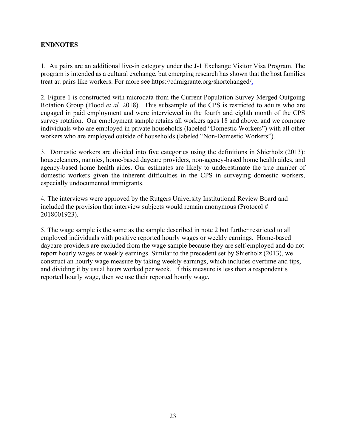### **ENDNOTES**

1. Au pairs are an additional live-in category under the J-1 Exchange Visitor Visa Program. The program is intended as a cultural exchange, but emerging research has shown that the host families treat au pairs like workers. For more see https://cdmigrante.org/shortchanged/.

2. Figure 1 is constructed with microdata from the Current Population Survey Merged Outgoing Rotation Group (Flood *et al.* 2018). This subsample of the CPS is restricted to adults who are engaged in paid employment and were interviewed in the fourth and eighth month of the CPS survey rotation. Our employment sample retains all workers ages 18 and above, and we compare individuals who are employed in private households (labeled "Domestic Workers") with all other workers who are employed outside of households (labeled "Non-Domestic Workers").

3. Domestic workers are divided into five categories using the definitions in Shierholz (2013): housecleaners, nannies, home-based daycare providers, non-agency-based home health aides, and agency-based home health aides. Our estimates are likely to underestimate the true number of domestic workers given the inherent difficulties in the CPS in surveying domestic workers, especially undocumented immigrants.

4. The interviews were approved by the Rutgers University Institutional Review Board and included the provision that interview subjects would remain anonymous (Protocol # 2018001923).

5. The wage sample is the same as the sample described in note 2 but further restricted to all employed individuals with positive reported hourly wages or weekly earnings. Home-based daycare providers are excluded from the wage sample because they are self-employed and do not report hourly wages or weekly earnings. Similar to the precedent set by Shierholz (2013), we construct an hourly wage measure by taking weekly earnings, which includes overtime and tips, and dividing it by usual hours worked per week. If this measure is less than a respondent's reported hourly wage, then we use their reported hourly wage.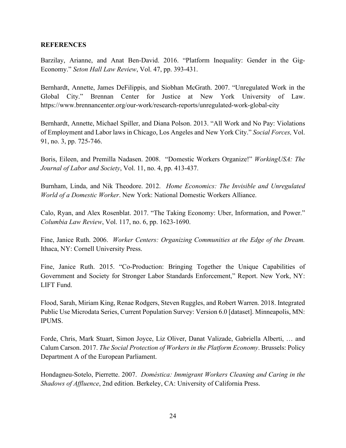### **REFERENCES**

Barzilay, Arianne, and Anat Ben-David. 2016. "Platform Inequality: Gender in the Gig-Economy." *Seton Hall Law Review*, Vol. 47, pp. 393-431.

Bernhardt, Annette, James DeFilippis, and Siobhan McGrath. 2007. "Unregulated Work in the Global City." Brennan Center for Justice at New York University of Law. https://www.brennancenter.org/our-work/research-reports/unregulated-work-global-city

Bernhardt, Annette, Michael Spiller, and Diana Polson. 2013. "All Work and No Pay: Violations of Employment and Labor laws in Chicago, Los Angeles and New York City." *Social Forces,* Vol. 91, no. 3, pp. 725-746.

Boris, Eileen, and Premilla Nadasen. 2008. "Domestic Workers Organize!" *WorkingUSA: The Journal of Labor and Society*, Vol. 11, no. 4, pp. 413-437.

Burnham, Linda, and Nik Theodore. 2012. *Home Economics: The Invisible and Unregulated World of a Domestic Worker*. New York: National Domestic Workers Alliance.

Calo, Ryan, and Alex Rosenblat. 2017. "The Taking Economy: Uber, Information, and Power." *Columbia Law Review*, Vol. 117, no. 6, pp. 1623-1690.

Fine, Janice Ruth. 2006. *Worker Centers: Organizing Communities at the Edge of the Dream.* Ithaca, NY: Cornell University Press.

Fine, Janice Ruth. 2015. "Co-Production: Bringing Together the Unique Capabilities of Government and Society for Stronger Labor Standards Enforcement," Report. New York, NY: LIFT Fund.

Flood, Sarah, Miriam King, Renae Rodgers, Steven Ruggles, and Robert Warren. 2018. Integrated Public Use Microdata Series, Current Population Survey: Version 6.0 [dataset]. Minneapolis, MN: IPUMS.

Forde, Chris, Mark Stuart, Simon Joyce, Liz Oliver, Danat Valizade, Gabriella Alberti, … and Calum Carson. 2017. *The Social Protection of Workers in the Platform Economy*. Brussels: Policy Department A of the European Parliament.

Hondagneu-Sotelo, Pierrette. 2007. *Doméstica: Immigrant Workers Cleaning and Caring in the Shadows of Affluence*, 2nd edition. Berkeley, CA: University of California Press.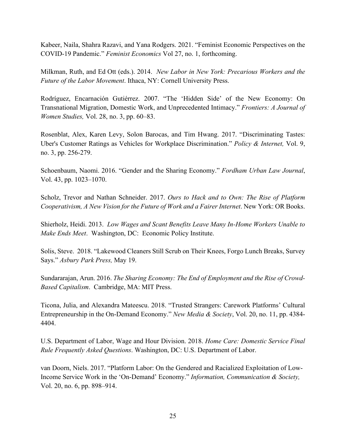Kabeer, Naila, Shahra Razavi, and Yana Rodgers. 2021. "Feminist Economic Perspectives on the COVID-19 Pandemic." *Feminist Economics* Vol 27, no. 1, forthcoming.

Milkman, Ruth, and Ed Ott (eds.). 2014. *New Labor in New York: Precarious Workers and the Future of the Labor Movement*. Ithaca, NY: Cornell University Press.

Rodríguez, Encarnación Gutiérrez. 2007. "The 'Hidden Side' of the New Economy: On Transnational Migration, Domestic Work, and Unprecedented Intimacy." *Frontiers: A Journal of Women Studies,* Vol. 28, no. 3, pp. 60–83.

Rosenblat, Alex, Karen Levy, Solon Barocas, and Tim Hwang. 2017. "Discriminating Tastes: Uber's Customer Ratings as Vehicles for Workplace Discrimination." *Policy & Internet,* Vol. 9, no. 3, pp. 256-279.

Schoenbaum, Naomi. 2016. "Gender and the Sharing Economy." *Fordham Urban Law Journal*, Vol. 43, pp. 1023–1070.

Scholz, Trevor and Nathan Schneider. 2017. *Ours to Hack and to Own: The Rise of Platform Cooperativism, A New Vision for the Future of Work and a Fairer Internet*. New York: OR Books.

Shierholz, Heidi. 2013. *Low Wages and Scant Benefits Leave Many In-Home Workers Unable to Make Ends Meet*. Washington, DC: Economic Policy Institute.

Solis, Steve. 2018. "Lakewood Cleaners Still Scrub on Their Knees, Forgo Lunch Breaks, Survey Says." *Asbury Park Press,* May 19.

Sundararajan, Arun. 2016. *The Sharing Economy: The End of Employment and the Rise of Crowd-Based Capitalism*. Cambridge, MA: MIT Press.

Ticona, Julia, and Alexandra Mateescu. 2018. "Trusted Strangers: Carework Platforms' Cultural Entrepreneurship in the On-Demand Economy." *New Media & Society*, Vol. 20, no. 11, pp. 4384- 4404.

U.S. Department of Labor, Wage and Hour Division. 2018. *Home Care: Domestic Service Final Rule Frequently Asked Questions*. Washington, DC: U.S. Department of Labor.

van Doorn, Niels. 2017. "Platform Labor: On the Gendered and Racialized Exploitation of Low-Income Service Work in the 'On-Demand' Economy." *Information, Communication & Society,* Vol. 20, no. 6, pp. 898–914.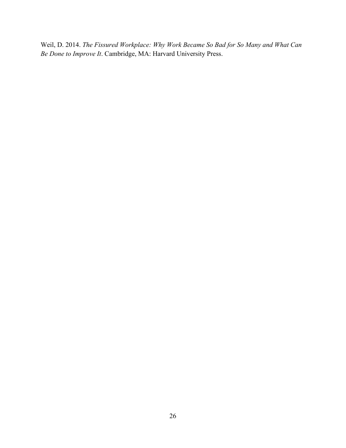Weil, D. 2014. *The Fissured Workplace: Why Work Became So Bad for So Many and What Can Be Done to Improve It*. Cambridge, MA: Harvard University Press.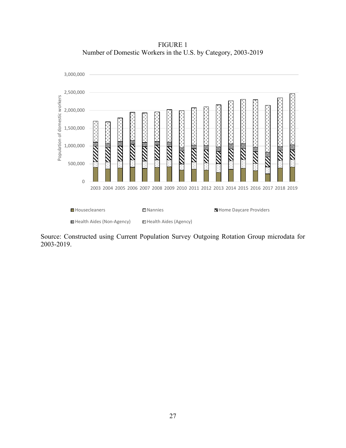FIGURE 1 Number of Domestic Workers in the U.S. by Category, 2003-2019



Source: Constructed using Current Population Survey Outgoing Rotation Group microdata for 2003-2019.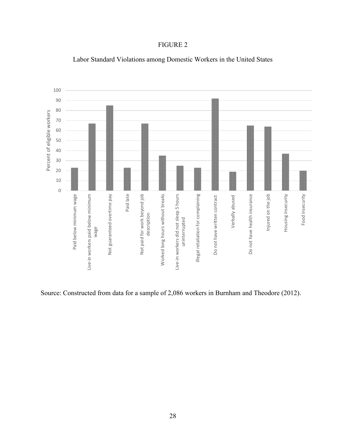## FIGURE 2





Source: Constructed from data for a sample of 2,086 workers in Burnham and Theodore (2012).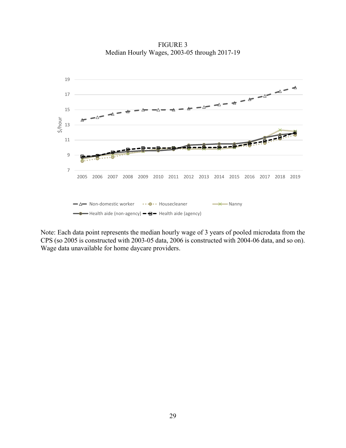

FIGURE 3 Median Hourly Wages, 2003-05 through 2017-19

Note: Each data point represents the median hourly wage of 3 years of pooled microdata from the CPS (so 2005 is constructed with 2003-05 data, 2006 is constructed with 2004-06 data, and so on). Wage data unavailable for home daycare providers.